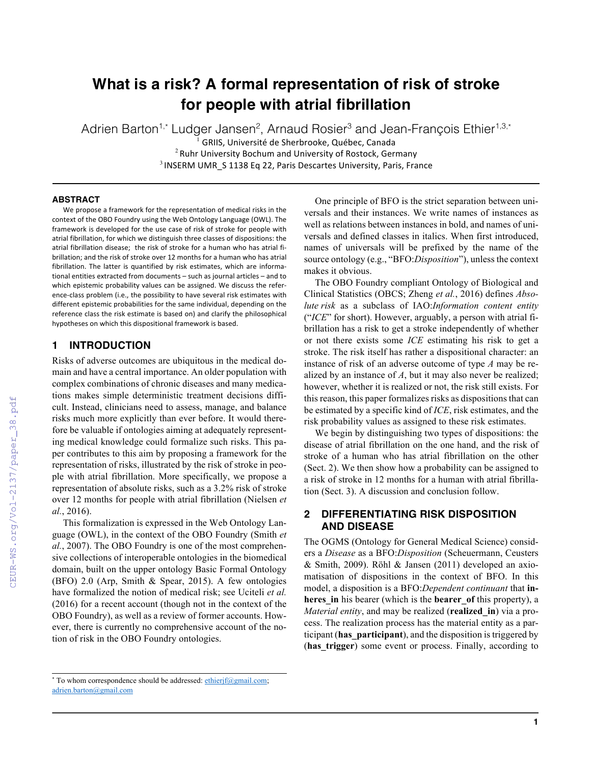# **What is a risk? A formal representation of risk of stroke for people with atrial fibrillation**

Adrien Barton<sup>1,\*</sup> Ludger Jansen<sup>2</sup>, Arnaud Rosier<sup>3</sup> and Jean-François Ethier<sup>1,3,\*</sup>

GRIIS, Université de Sherbrooke, Québec, Canada  $2$  Ruhr University Bochum and University of Rostock, Germany  $3$  INSERM UMR  $\,$  S 1138 Eq 22, Paris Descartes University, Paris, France

#### **ABSTRACT**

We propose a framework for the representation of medical risks in the context of the OBO Foundry using the Web Ontology Language (OWL). The framework is developed for the use case of risk of stroke for people with atrial fibrillation, for which we distinguish three classes of dispositions: the atrial fibrillation disease; the risk of stroke for a human who has atrial fibrillation; and the risk of stroke over 12 months for a human who has atrial fibrillation. The latter is quantified by risk estimates, which are informational entities extracted from documents – such as journal articles – and to which epistemic probability values can be assigned. We discuss the reference-class problem (i.e., the possibility to have several risk estimates with different epistemic probabilities for the same individual, depending on the reference class the risk estimate is based on) and clarify the philosophical hypotheses on which this dispositional framework is based.

# **1 INTRODUCTION**

Risks of adverse outcomes are ubiquitous in the medical domain and have a central importance. An older population with complex combinations of chronic diseases and many medications makes simple deterministic treatment decisions difficult. Instead, clinicians need to assess, manage, and balance risks much more explicitly than ever before. It would therefore be valuable if ontologies aiming at adequately representing medical knowledge could formalize such risks. This paper contributes to this aim by proposing a framework for the representation of risks, illustrated by the risk of stroke in people with atrial fibrillation. More specifically, we propose a representation of absolute risks, such as a 3.2% risk of stroke over 12 months for people with atrial fibrillation (Nielsen *et al.*, 2016).

This formalization is expressed in the Web Ontology Language (OWL), in the context of the OBO Foundry (Smith *et al.*, 2007). The OBO Foundry is one of the most comprehensive collections of interoperable ontologies in the biomedical domain, built on the upper ontology Basic Formal Ontology (BFO) 2.0 (Arp, Smith & Spear, 2015). A few ontologies have formalized the notion of medical risk; see Uciteli *et al.* (2016) for a recent account (though not in the context of the OBO Foundry), as well as a review of former accounts. However, there is currently no comprehensive account of the notion of risk in the OBO Foundry ontologies.

One principle of BFO is the strict separation between universals and their instances. We write names of instances as well as relations between instances in bold, and names of universals and defined classes in italics. When first introduced, names of universals will be prefixed by the name of the source ontology (e.g., "BFO:*Disposition*"), unless the context makes it obvious.

The OBO Foundry compliant Ontology of Biological and Clinical Statistics (OBCS; Zheng *et al.*, 2016) defines *Absolute risk* as a subclass of IAO:*Information content entity* ("*ICE*" for short). However, arguably, a person with atrial fibrillation has a risk to get a stroke independently of whether or not there exists some *ICE* estimating his risk to get a stroke. The risk itself has rather a dispositional character: an instance of risk of an adverse outcome of type *A* may be realized by an instance of *A*, but it may also never be realized; however, whether it is realized or not, the risk still exists. For this reason, this paper formalizes risks as dispositions that can be estimated by a specific kind of *ICE*, risk estimates, and the risk probability values as assigned to these risk estimates.

We begin by distinguishing two types of dispositions: the disease of atrial fibrillation on the one hand, and the risk of stroke of a human who has atrial fibrillation on the other (Sect. 2). We then show how a probability can be assigned to a risk of stroke in 12 months for a human with atrial fibrillation (Sect. 3). A discussion and conclusion follow.

# **2 DIFFERENTIATING RISK DISPOSITION AND DISEASE**

The OGMS (Ontology for General Medical Science) considers a *Disease* as a BFO:*Disposition* (Scheuermann, Ceusters & Smith, 2009). Röhl & Jansen (2011) developed an axiomatisation of dispositions in the context of BFO. In this model, a disposition is a BFO:*Dependent continuant* that **inheres\_in** his bearer (which is the **bearer\_of** this property), a *Material entity*, and may be realized (**realized\_in**) via a process. The realization process has the material entity as a participant (**has\_participant**), and the disposition is triggered by (**has\_trigger**) some event or process. Finally, according to

**<sup>1</sup>**

<sup>\*</sup> To whom correspondence should be addressed: ethierjf@gmail.com; adrien.barton@gmail.com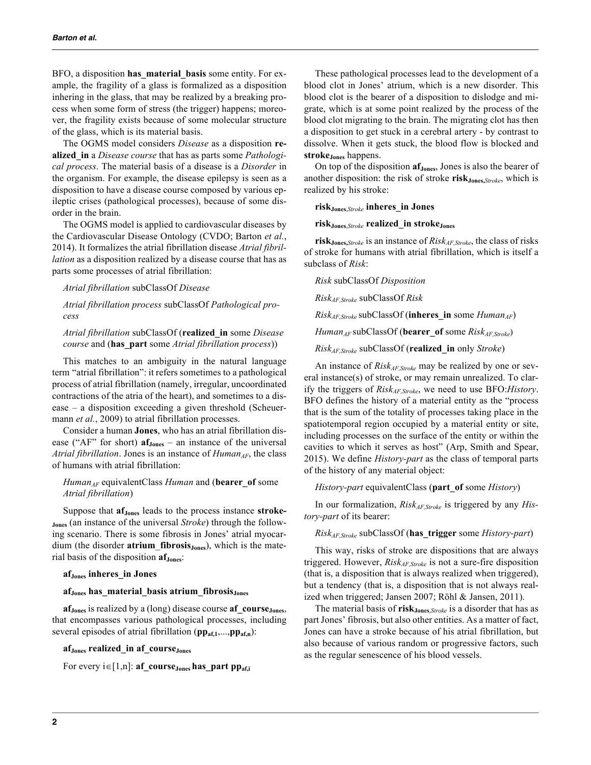BFO, a disposition **has\_material\_basis** some entity. For example, the fragility of a glass is formalized as a disposition inhering in the glass, that may be realized by a breaking process when some form of stress (the trigger) happens; moreover, the fragility exists because of some molecular structure of the glass, which is its material basis.

The OGMS model considers *Disease* as a disposition **realized\_in** a *Disease course* that has as parts some *Pathological process*. The material basis of a disease is a *Disorder* in the organism. For example, the disease epilepsy is seen as a disposition to have a disease course composed by various epileptic crises (pathological processes), because of some disorder in the brain.

The OGMS model is applied to cardiovascular diseases by the Cardiovascular Disease Ontology (CVDO; Barton *et al.*, 2014). It formalizes the atrial fibrillation disease *Atrial fibrillation* as a disposition realized by a disease course that has as parts some processes of atrial fibrillation:

*Atrial fibrillation* subClassOf *Disease*

*Atrial fibrillation process* subClassOf *Pathological process*

*Atrial fibrillation* subClassOf (**realized\_in** some *Disease course* and (**has\_part** some *Atrial fibrillation process*))

This matches to an ambiguity in the natural language term "atrial fibrillation": it refers sometimes to a pathological process of atrial fibrillation (namely, irregular, uncoordinated contractions of the atria of the heart), and sometimes to a disease – a disposition exceeding a given threshold (Scheuermann *et al.*, 2009) to atrial fibrillation processes.

Consider a human **Jones**, who has an atrial fibrillation disease ("AF" for short)  $af_{Jones}$  – an instance of the universal *Atrial fibrillation*. Jones is an instance of *Human<sub>AF*</sub>, the class of humans with atrial fibrillation:

#### *Human*<sub>AF</sub> equivalentClass *Human* and (**bearer** of some *Atrial fibrillation*)

Suppose that **af**<sub>Jones</sub> leads to the process instance **stroke-Jones** (an instance of the universal *Stroke*) through the following scenario. There is some fibrosis in Jones' atrial myocardium (the disorder **atrium** fibrosis<sub>Jones</sub>), which is the material basis of the disposition **af** J<sub>ones</sub>:

#### **afJones inheres\_in Jones**

#### **afJones has\_material\_basis atrium\_fibrosisJones**

**afJones** is realized by a (long) disease course **af\_courseJones**, that encompasses various pathological processes, including several episodes of atrial fibrillation (**ppaf,1**,...,**ppaf,n**):

#### **afJones realized\_in af\_courseJones**

For every  $i \in [1,n]$ : **af** course<sub>Jones</sub> has part pp<sub>af,i</sub>

These pathological processes lead to the development of a blood clot in Jones' atrium, which is a new disorder. This blood clot is the bearer of a disposition to dislodge and migrate, which is at some point realized by the process of the blood clot migrating to the brain. The migrating clot has then a disposition to get stuck in a cerebral artery - by contrast to dissolve. When it gets stuck, the blood flow is blocked and **strokeJones** happens.

On top of the disposition **af**<sub>Jones</sub>, Jones is also the bearer of another disposition: the risk of stroke **risk**J<sub>ones</sub>, *Stroke*, which is realized by his stroke:

#### **riskJones**,*Stroke* **inheres\_in Jones**

## **riskJones**,*Stroke* **realized\_in strokeJones**

**riskJones,***Stroke* is an instance of *RiskAF,Stroke*, the class of risks of stroke for humans with atrial fibrillation, which is itself a subclass of *Risk*:

*Risk* subClassOf *Disposition*

*RiskAF,Stroke* subClassOf *Risk*

*Risk<sub>AF,Stroke*</sub> subClassOf (inheres\_in some *Human*<sub>AF</sub>)

*HumanAF* subClassOf (**bearer\_of** some *RiskAF,Stroke*)

*RiskAF,Stroke* subClassOf (**realized\_in** only *Stroke*)

An instance of *RiskAF,Stroke* may be realized by one or several instance(s) of stroke, or may remain unrealized. To clarify the triggers of *RiskAF,Stroke*, we need to use BFO:*History*. BFO defines the history of a material entity as the "process that is the sum of the totality of processes taking place in the spatiotemporal region occupied by a material entity or site, including processes on the surface of the entity or within the cavities to which it serves as host" (Arp, Smith and Spear, 2015). We define *History-part* as the class of temporal parts of the history of any material object:

*History-part* equivalentClass (**part\_of** some *History*)

In our formalization, *Risk<sub>AF,Stroke*</sub> is triggered by any *History-part* of its bearer:

*RiskAF,Stroke* subClassOf (**has\_trigger** some *History-part*)

This way, risks of stroke are dispositions that are always triggered. However, *Risk<sub>AF,Stroke</sub>* is not a sure-fire disposition (that is, a disposition that is always realized when triggered), but a tendency (that is, a disposition that is not always realized when triggered; Jansen 2007; Röhl & Jansen, 2011).

The material basis of **risk** J<sub>ones, *Stroke* is a disorder that has as</sub> part Jones' fibrosis, but also other entities. As a matter of fact, Jones can have a stroke because of his atrial fibrillation, but also because of various random or progressive factors, such as the regular senescence of his blood vessels.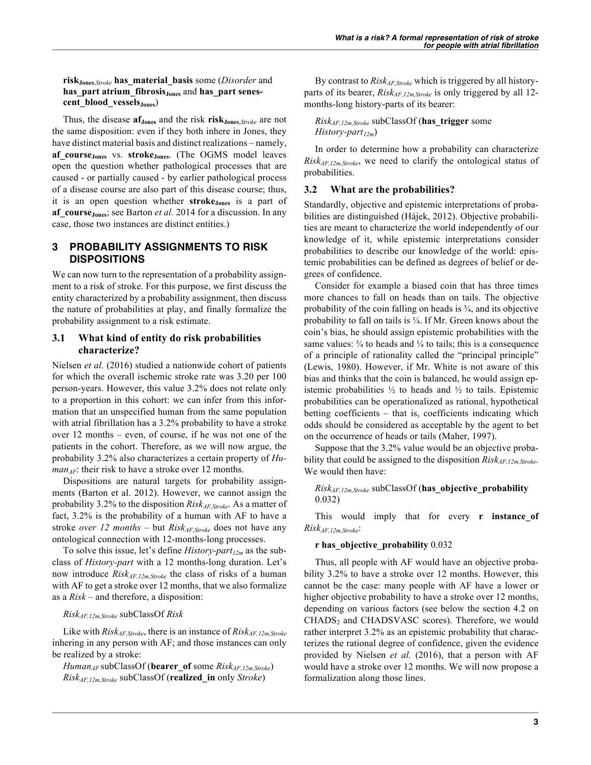**riskJones**,*Stroke* **has\_material\_basis** some (*Disorder* and **has** part atrium fibrosis<sub>Jones</sub> and has part senes**cent\_blood\_vesselsJones**)

Thus, the disease **afJones** and the risk **riskJones**,*Stroke* are not the same disposition: even if they both inhere in Jones, they have distinct material basis and distinct realizations – namely, **af\_courseJones** vs. **strokeJones**. (The OGMS model leaves open the question whether pathological processes that are caused - or partially caused - by earlier pathological process of a disease course are also part of this disease course; thus, it is an open question whether **stroke**<sub>Jones</sub> is a part of **af\_courseJones**; see Barton *et al.* 2014 for a discussion. In any case, those two instances are distinct entities.)

# **3 PROBABILITY ASSIGNMENTS TO RISK DISPOSITIONS**

We can now turn to the representation of a probability assignment to a risk of stroke. For this purpose, we first discuss the entity characterized by a probability assignment, then discuss the nature of probabilities at play, and finally formalize the probability assignment to a risk estimate.

# **3.1 What kind of entity do risk probabilities characterize?**

Nielsen *et al.* (2016) studied a nationwide cohort of patients for which the overall ischemic stroke rate was 3.20 per 100 person-years. However, this value 3.2% does not relate only to a proportion in this cohort: we can infer from this information that an unspecified human from the same population with atrial fibrillation has a 3.2% probability to have a stroke over 12 months – even, of course, if he was not one of the patients in the cohort. Therefore, as we will now argue, the probability 3.2% also characterizes a certain property of *Human<sub>AF</sub>*: their risk to have a stroke over 12 months.

Dispositions are natural targets for probability assignments (Barton et al. 2012). However, we cannot assign the probability 3.2% to the disposition *RiskAF,Stroke*. As a matter of fact, 3.2% is the probability of a human with AF to have a stroke *over* 12 months – but  $Risk_{AF,Stroke}$  does not have any ontological connection with 12-months-long processes.

To solve this issue, let's define *History-part<sub>12m</sub>* as the subclass of *History-part* with a 12 months-long duration. Let's now introduce *RiskAF,12m,Stroke* the class of risks of a human with AF to get a stroke over 12 months, that we also formalize as a *Risk* – and therefore, a disposition:

## *RiskAF,12m,Stroke* subClassOf *Risk*

Like with *Risk<sub>AF,Stroke*, there is an instance of *Risk<sub>AF,12m,Stroke*</sub></sub> inhering in any person with AF; and those instances can only be realized by a stroke:

*HumanAF* subClassOf (**bearer\_of** some *RiskAF,12m,Stroke*) *RiskAF,12m,Stroke* subClassOf (**realized\_in** only *Stroke*)

By contrast to *RiskAF,Stroke* which is triggered by all historyparts of its bearer, *Risk<sub>AF,12m,Stroke</sub>* is only triggered by all 12months-long history-parts of its bearer:

*RiskAF,12m,Stroke* subClassOf (**has\_trigger** some *History-part<sub>12m</sub>*)

In order to determine how a probability can characterize *RiskAF,12m,Stroke*, we need to clarify the ontological status of probabilities.

## **3.2 What are the probabilities?**

Standardly, objective and epistemic interpretations of probabilities are distinguished (Hájek, 2012). Objective probabilities are meant to characterize the world independently of our knowledge of it, while epistemic interpretations consider probabilities to describe our knowledge of the world: epistemic probabilities can be defined as degrees of belief or degrees of confidence.

Consider for example a biased coin that has three times more chances to fall on heads than on tails. The objective probability of the coin falling on heads is  $\frac{3}{4}$ , and its objective probability to fall on tails is ¼. If Mr. Green knows about the coin's bias, he should assign epistemic probabilities with the same values:  $\frac{3}{4}$  to heads and  $\frac{1}{4}$  to tails; this is a consequence of a principle of rationality called the "principal principle" (Lewis, 1980). However, if Mr. White is not aware of this bias and thinks that the coin is balanced, he would assign epistemic probabilities  $\frac{1}{2}$  to heads and  $\frac{1}{2}$  to tails. Epistemic probabilities can be operationalized as rational, hypothetical betting coefficients – that is, coefficients indicating which odds should be considered as acceptable by the agent to bet on the occurrence of heads or tails (Maher, 1997).

Suppose that the 3.2% value would be an objective probability that could be assigned to the disposition *Risk<sub>AF,12m,Stroke</sub>*. We would then have:

## *RiskAF,12m,Stroke* subClassOf (**has\_objective\_probability** 0.032)

This would imply that for every **r instance\_of** *RiskAF,12m,Stroke*:

## **r has\_objective\_probability** 0.032

Thus, all people with AF would have an objective probability 3.2% to have a stroke over 12 months. However, this cannot be the case: many people with AF have a lower or higher objective probability to have a stroke over 12 months, depending on various factors (see below the section 4.2 on CHADS<sub>2</sub> and CHADSVASC scores). Therefore, we would rather interpret 3.2% as an epistemic probability that characterizes the rational degree of confidence, given the evidence provided by Nielsen *et al.* (2016), that a person with AF would have a stroke over 12 months. We will now propose a formalization along those lines.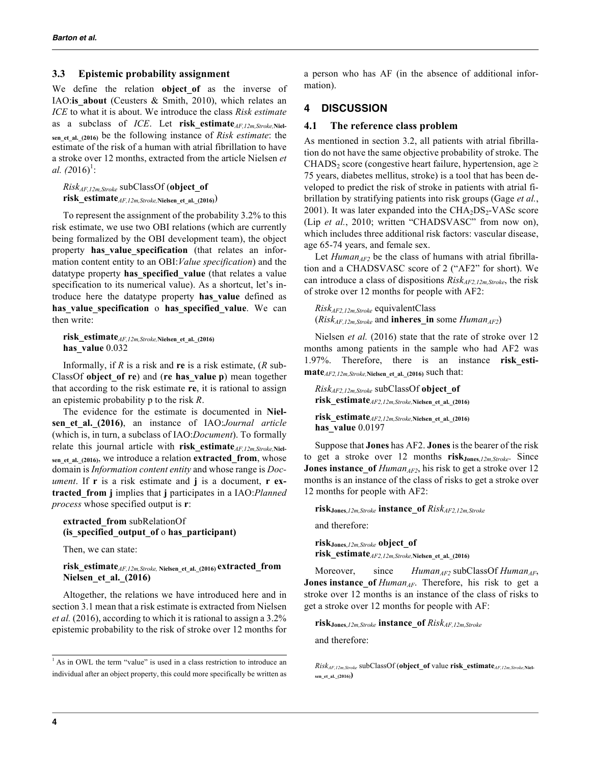## **3.3 Epistemic probability assignment**

We define the relation **object** of as the inverse of IAO:is about (Ceusters & Smith, 2010), which relates an *ICE* to what it is about. We introduce the class *Risk estimate* as a subclass of *ICE*. Let **risk estimate**<sub>*AF,12m,Stroke*,Niel-</sub> **sen\_et\_al.\_(2016)** be the following instance of *Risk estimate*: the estimate of the risk of a human with atrial fibrillation to have a stroke over 12 months, extracted from the article Nielsen *et al.*  $(2016)^{1}$ :

*RiskAF,12m,Stroke* subClassOf (**object\_of risk\_estimate***AF,12m,Stroke,***Nielsen\_et\_al.\_(2016)**)

To represent the assignment of the probability 3.2% to this risk estimate, we use two OBI relations (which are currently being formalized by the OBI development team), the object property has value specification (that relates an information content entity to an OBI:*Value specification*) and the datatype property **has\_specified\_value** (that relates a value specification to its numerical value). As a shortcut, let's introduce here the datatype property **has\_value** defined as **has\_value\_specification** o **has\_specified\_value**. We can then write:

**risk\_estimate***AF,12m,Stroke,***Nielsen\_et\_al.\_(2016) has\_value** 0.032

Informally, if *R* is a risk and **re** is a risk estimate, (*R* sub-ClassOf **object\_of re**) and (**re has\_value p**) mean together that according to the risk estimate **re**, it is rational to assign an epistemic probability p to the risk *R*.

The evidence for the estimate is documented in **Nielsen\_et\_al.\_(2016)**, an instance of IAO:*Journal article* (which is, in turn, a subclass of IAO:*Document*). To formally relate this journal article with **risk\_estimate***AF,12m,Stroke,***Niel**sen et al. (2016), we introduce a relation **extracted from**, whose domain is *Information content entity* and whose range is *Document*. If **r** is a risk estimate and **j** is a document, **r extracted\_from j** implies that **j** participates in a IAO:*Planned process* whose specified output is **r**:

#### **extracted\_from** subRelationOf **(is\_specified\_output\_of** o **has\_participant)**

Then, we can state:

## **risk\_estimate***AF,12m,Stroke,* **Nielsen\_et\_al.\_(2016) extracted\_from Nielsen\_et\_al.\_(2016)**

Altogether, the relations we have introduced here and in section 3.1 mean that a risk estimate is extracted from Nielsen *et al.* (2016), according to which it is rational to assign a 3.2% epistemic probability to the risk of stroke over 12 months for a person who has AF (in the absence of additional information).

## **4 DISCUSSION**

#### **4.1 The reference class problem**

As mentioned in section 3.2, all patients with atrial fibrillation do not have the same objective probability of stroke. The CHADS<sub>2</sub> score (congestive heart failure, hypertension, age  $\geq$ 75 years, diabetes mellitus, stroke) is a tool that has been developed to predict the risk of stroke in patients with atrial fibrillation by stratifying patients into risk groups (Gage *et al.*, 2001). It was later expanded into the  $CHA<sub>2</sub>DS<sub>2</sub>-VASc$  score (Lip *et al.*, 2010; written "CHADSVASC" from now on), which includes three additional risk factors: vascular disease, age 65-74 years, and female sex.

Let  $Human_{AF2}$  be the class of humans with atrial fibrillation and a CHADSVASC score of 2 ("AF2" for short). We can introduce a class of dispositions *RiskAF2,12m,Stroke*, the risk of stroke over 12 months for people with AF2:

*RiskAF2,12m,Stroke* equivalentClass  $(Risk<sub>AF,12m,Stroke</sub>$  and **inheres** in some *Human*<sub>AF2</sub>)

Nielsen *et al.* (2016) state that the rate of stroke over 12 months among patients in the sample who had AF2 was 1.97%. Therefore, there is an instance **risk\_estimate***AF2,12m,Stroke,***Nielsen\_et\_al.\_(2016)** such that:

*RiskAF2,12m,Stroke* subClassOf **object\_of risk\_estimate***AF2,12m,Stroke,***Nielsen\_et\_al.\_(2016)**

**risk\_estimate***AF2,12m,Stroke,***Nielsen\_et\_al.\_(2016) has\_value** 0.0197

Suppose that **Jones** has AF2. **Jones** is the bearer of the risk to get a stroke over 12 months **riskJones**,*12m,Stroke*. Since **Jones instance** of  $Human_{AF2}$ , his risk to get a stroke over 12 months is an instance of the class of risks to get a stroke over 12 months for people with AF2:

**riskJones**,*12m,Stroke* **instance\_of** *RiskAF2,12m,Stroke*

and therefore:

**riskJones**,*12m,Stroke* **object\_of**

**risk\_estimate***AF2,12m,Stroke,***Nielsen\_et\_al.\_(2016)**

Moreover, since *Human<sub>AF2</sub>* subClassOf *Human<sub>AF</sub>*, **Jones instance\_of** *Human*<sub>AF</sub>. Therefore, his risk to get a stroke over 12 months is an instance of the class of risks to get a stroke over 12 months for people with AF:

**riskJones**,*12m,Stroke* **instance\_of** *RiskAF,12m,Stroke*

and therefore:

<sup>&</sup>lt;sup>1</sup> As in OWL the term "value" is used in a class restriction to introduce an individual after an object property, this could more specifically be written as

*RiskAF,12m,Stroke* subClassOf (**object\_of** value **risk\_estimate***AF,12m,Stroke,***Nielsen\_et\_al.\_(2016))**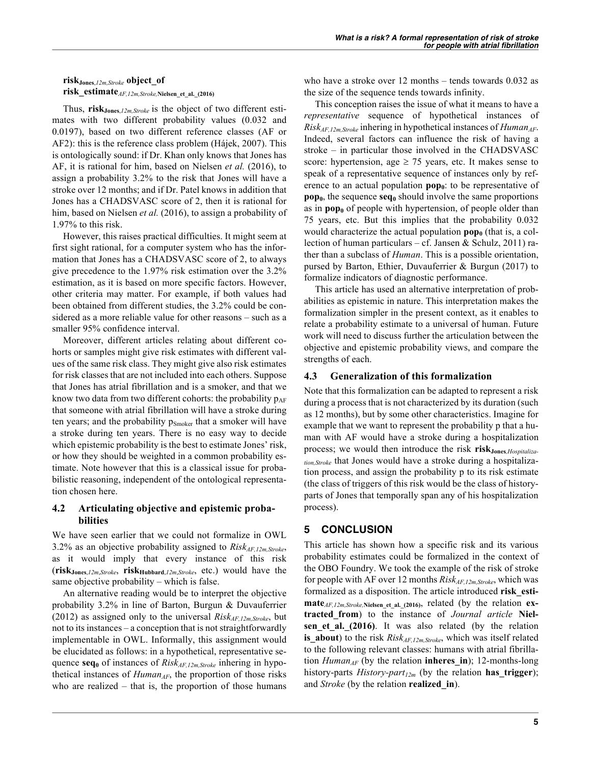**riskJones**,*12m,Stroke* **object\_of**

**risk\_estimate***AF,12m,Stroke,***Nielsen\_et\_al.\_(2016)**

Thus, **riskJones**,*12m,Stroke* is the object of two different estimates with two different probability values (0.032 and 0.0197), based on two different reference classes (AF or AF2): this is the reference class problem (Hájek, 2007). This is ontologically sound: if Dr. Khan only knows that Jones has AF, it is rational for him, based on Nielsen *et al.* (2016), to assign a probability 3.2% to the risk that Jones will have a stroke over 12 months; and if Dr. Patel knows in addition that Jones has a CHADSVASC score of 2, then it is rational for him, based on Nielsen *et al.* (2016), to assign a probability of 1.97% to this risk.

However, this raises practical difficulties. It might seem at first sight rational, for a computer system who has the information that Jones has a CHADSVASC score of 2, to always give precedence to the 1.97% risk estimation over the 3.2% estimation, as it is based on more specific factors. However, other criteria may matter. For example, if both values had been obtained from different studies, the 3.2% could be considered as a more reliable value for other reasons – such as a smaller 95% confidence interval.

Moreover, different articles relating about different cohorts or samples might give risk estimates with different values of the same risk class. They might give also risk estimates for risk classes that are not included into each others. Suppose that Jones has atrial fibrillation and is a smoker, and that we know two data from two different cohorts: the probability  $p_{AF}$ that someone with atrial fibrillation will have a stroke during ten years; and the probability p<sub>Smoker</sub> that a smoker will have a stroke during ten years. There is no easy way to decide which epistemic probability is the best to estimate Jones' risk, or how they should be weighted in a common probability estimate. Note however that this is a classical issue for probabilistic reasoning, independent of the ontological representation chosen here.

# **4.2 Articulating objective and epistemic probabilities**

We have seen earlier that we could not formalize in OWL 3.2% as an objective probability assigned to *RiskAF,12m,Stroke*, as it would imply that every instance of this risk (**riskJones**,*12m*,*Stroke*, **riskHubbard**,*12m*,*Stroke*, etc.) would have the same objective probability – which is false.

An alternative reading would be to interpret the objective probability 3.2% in line of Barton, Burgun & Duvauferrier (2012) as assigned only to the universal  $Risk_{AF,12m,Stroke}$ , but not to its instances – a conception that is not straightforwardly implementable in OWL. Informally, this assignment would be elucidated as follows: in a hypothetical, representative sequence **seq**<sub>0</sub> of instances of *Risk<sub>AF,12m,Stroke* inhering in hypo-</sub> thetical instances of *Human<sub>AF*</sub>, the proportion of those risks who are realized – that is, the proportion of those humans who have a stroke over 12 months – tends towards 0.032 as the size of the sequence tends towards infinity.

This conception raises the issue of what it means to have a *representative* sequence of hypothetical instances of *Risk<sub>AF,12m,Stroke*</sub> inhering in hypothetical instances of *Human<sub>AF</sub>*. Indeed, several factors can influence the risk of having a stroke – in particular those involved in the CHADSVASC score: hypertension, age  $\geq$  75 years, etc. It makes sense to speak of a representative sequence of instances only by reference to an actual population  $\mathbf{pop}_0$ : to be representative of **pop<sub>0</sub>**, the sequence  $seq_0$  should involve the same proportions as in  $\mathbf{pop}_0$  of people with hypertension, of people older than 75 years, etc. But this implies that the probability 0.032 would characterize the actual population  $\text{pop}_0$  (that is, a collection of human particulars – cf. Jansen & Schulz, 2011) rather than a subclass of *Human*. This is a possible orientation, pursed by Barton, Ethier, Duvauferrier & Burgun (2017) to formalize indicators of diagnostic performance.

This article has used an alternative interpretation of probabilities as epistemic in nature. This interpretation makes the formalization simpler in the present context, as it enables to relate a probability estimate to a universal of human. Future work will need to discuss further the articulation between the objective and epistemic probability views, and compare the strengths of each.

# **4.3 Generalization of this formalization**

Note that this formalization can be adapted to represent a risk during a process that is not characterized by its duration (such as 12 months), but by some other characteristics. Imagine for example that we want to represent the probability p that a human with AF would have a stroke during a hospitalization process; we would then introduce the risk risk<sub>Jones, Hospitaliza-</sub> *tion,Stroke* that Jones would have a stroke during a hospitalization process, and assign the probability p to its risk estimate (the class of triggers of this risk would be the class of historyparts of Jones that temporally span any of his hospitalization process).

# **5 CONCLUSION**

This article has shown how a specific risk and its various probability estimates could be formalized in the context of the OBO Foundry. We took the example of the risk of stroke for people with AF over 12 months  $Risk_{AF,12m,Stroke}$ , which was formalized as a disposition. The article introduced **risk\_estimate***AF,12m,Stroke,***Nielsen\_et\_al.\_(2016)**, related (by the relation **extracted\_from**) to the instance of *Journal article* **Nielsen\_et\_al.\_(2016)**. It was also related (by the relation **is\_about**) to the risk *Risk<sub>AF,12m,Stroke*, which was itself related</sub> to the following relevant classes: humans with atrial fibrillation  $Human_{AF}$  (by the relation **inheres in**); 12-months-long history-parts *History-part<sub>12m</sub>* (by the relation **has trigger**); and *Stroke* (by the relation **realized\_in**).